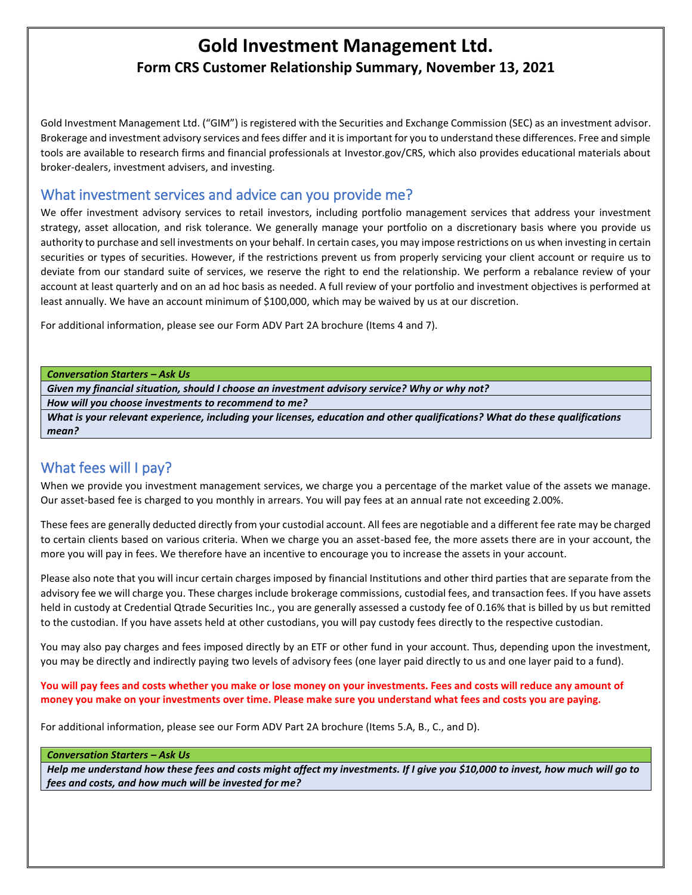# **Gold Investment Management Ltd. Form CRS Customer Relationship Summary, November 13, 2021**

Gold Investment Management Ltd. ("GIM") is registered with the Securities and Exchange Commission (SEC) as an investment advisor. Brokerage and investment advisory services and fees differ and it is important for you to understand these differences. Free and simple tools are available to research firms and financial professionals at Investor.gov/CRS, which also provides educational materials about broker-dealers, investment advisers, and investing.

### What investment services and advice can you provide me?

We offer investment advisory services to retail investors, including portfolio management services that address your investment strategy, asset allocation, and risk tolerance. We generally manage your portfolio on a discretionary basis where you provide us authority to purchase and sell investments on your behalf. In certain cases, you may impose restrictions on us when investing in certain securities or types of securities. However, if the restrictions prevent us from properly servicing your client account or require us to deviate from our standard suite of services, we reserve the right to end the relationship. We perform a rebalance review of your account at least quarterly and on an ad hoc basis as needed. A full review of your portfolio and investment objectives is performed at least annually. We have an account minimum of \$100,000, which may be waived by us at our discretion.

For additional information, please see our Form ADV Part 2A brochure (Items 4 and 7).

*Conversation Starters – Ask Us*

*Given my financial situation, should I choose an investment advisory service? Why or why not?* 

*How will you choose investments to recommend to me?*

*What is your relevant experience, including your licenses, education and other qualifications? What do these qualifications mean?*

## What fees will I pay?

When we provide you investment management services, we charge you a percentage of the market value of the assets we manage. Our asset-based fee is charged to you monthly in arrears. You will pay fees at an annual rate not exceeding 2.00%.

These fees are generally deducted directly from your custodial account. All fees are negotiable and a different fee rate may be charged to certain clients based on various criteria. When we charge you an asset-based fee, the more assets there are in your account, the more you will pay in fees. We therefore have an incentive to encourage you to increase the assets in your account.

Please also note that you will incur certain charges imposed by financial Institutions and other third parties that are separate from the advisory fee we will charge you. These charges include brokerage commissions, custodial fees, and transaction fees. If you have assets held in custody at Credential Qtrade Securities Inc., you are generally assessed a custody fee of 0.16% that is billed by us but remitted to the custodian. If you have assets held at other custodians, you will pay custody fees directly to the respective custodian.

You may also pay charges and fees imposed directly by an ETF or other fund in your account. Thus, depending upon the investment, you may be directly and indirectly paying two levels of advisory fees (one layer paid directly to us and one layer paid to a fund).

**You will pay fees and costs whether you make or lose money on your investments. Fees and costs will reduce any amount of money you make on your investments over time. Please make sure you understand what fees and costs you are paying.**

For additional information, please see our Form ADV Part 2A brochure (Items 5.A, B., C., and D).

#### *Conversation Starters – Ask Us*

*Help me understand how these fees and costs might affect my investments. If I give you \$10,000 to invest, how much will go to fees and costs, and how much will be invested for me?*